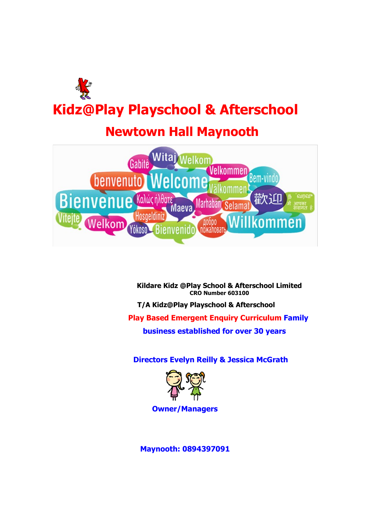

# **Newtown Hall Maynooth**



**Kildare Kidz @Play School & Afterschool Limited CRO Number 603100**

**T/A Kidz@Play Playschool & Afterschool**

**Play Based Emergent Enquiry Curriculum Family** 

**business established for over 30 years**

**Directors Evelyn Reilly & Jessica McGrath**



**Owner/Managers**

**Maynooth: 0894397091**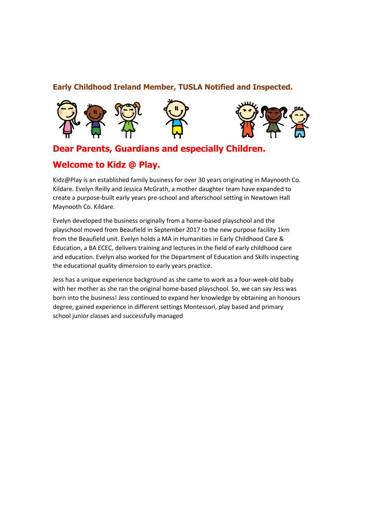### **Early Childhood Ireland Member, TUSLA Notified and Inspected.**





# **Dear Parents, Guardians and especially Children.**

# **Welcome to Kidz @ Play.**

Kidz@Play is an established family business for over 30 years originating in Maynooth Co. Kildare. Evelyn Reilly and Jessica McGrath, a mother daughter team have expanded to create a purpose-built early years pre-school and afterschool setting in Newtown Hall Maynooth Co. Kildare.

Evelyn developed the business originally from a home-based playschool and the playschool moved from Beaufield in September 2017 to the new purpose facility 1km from the Beaufield unit. Evelyn holds a MA in Humanities in Early Childhood Care & Education, a BA ECEC, delivers training and lectures in the field of early childhood care and education. Evelyn also worked for the Department of Education and Skills inspecting the educational quality dimension to early years practice.

Jess has a unique experience background as she came to work as a four-week-old baby with her mother as she ran the original home-based playschool. So, we can say Jess was born into the business! Jess continued to expand her knowledge by obtaining an honours degree, gained experience in different settings Montessori, play based and primary school junior classes and successfully managed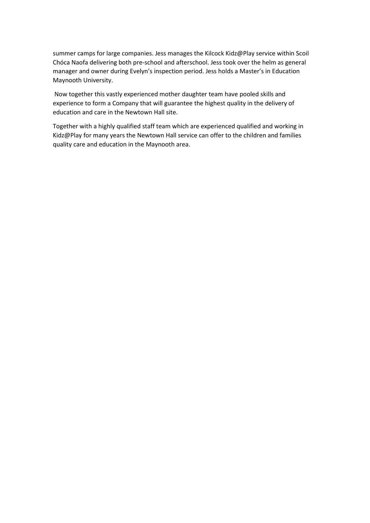summer camps for large companies. Jess manages the Kilcock Kidz@Play service within Scoil Chóca Naofa delivering both pre-school and afterschool. Jess took over the helm as general manager and owner during Evelyn's inspection period. Jess holds a Master's in Education Maynooth University.

Now together this vastly experienced mother daughter team have pooled skills and experience to form a Company that will guarantee the highest quality in the delivery of education and care in the Newtown Hall site.

Together with a highly qualified staff team which are experienced qualified and working in Kidz@Play for many years the Newtown Hall service can offer to the children and families quality care and education in the Maynooth area.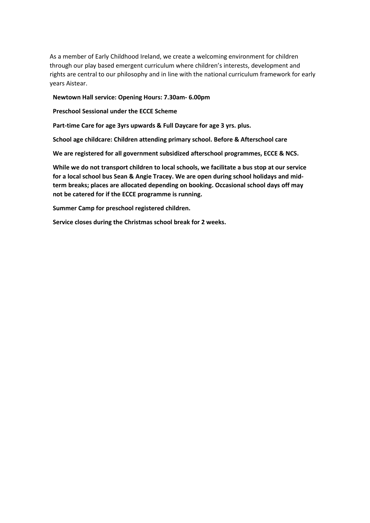As a member of Early Childhood Ireland, we create a welcoming environment for children through our play based emergent curriculum where children's interests, development and rights are central to our philosophy and in line with the national curriculum framework for early years Aistear.

#### **Newtown Hall service: Opening Hours: 7.30am- 6.00pm**

**Preschool Sessional under the ECCE Scheme**

**Part-time Care for age 3yrs upwards & Full Daycare for age 3 yrs. plus.**

**School age childcare: Children attending primary school. Before & Afterschool care**

**We are registered for all government subsidized afterschool programmes, ECCE & NCS.**

**While we do not transport children to local schools, we facilitate a bus stop at our service for a local school bus Sean & Angie Tracey. We are open during school holidays and midterm breaks; places are allocated depending on booking. Occasional school days off may not be catered for if the ECCE programme is running.** 

**Summer Camp for preschool registered children.**

**Service closes during the Christmas school break for 2 weeks.**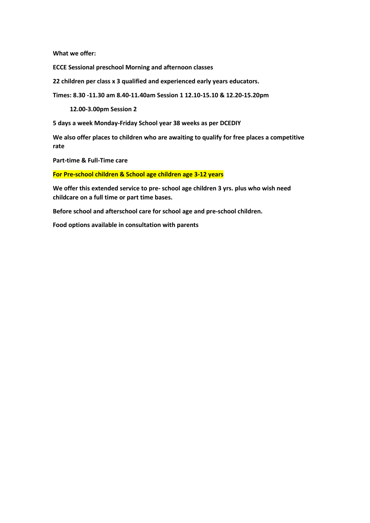**What we offer:**

**ECCE Sessional preschool Morning and afternoon classes**

**22 children per class x 3 qualified and experienced early years educators.**

**Times: 8.30 -11.30 am 8.40-11.40am Session 1 12.10-15.10 & 12.20-15.20pm** 

**12.00-3.00pm Session 2**

**5 days a week Monday-Friday School year 38 weeks as per DCEDIY**

**We also offer places to children who are awaiting to qualify for free places a competitive rate**

**Part-time & Full-Time care**

**For Pre-school children & School age children age 3-12 years**

**We offer this extended service to pre- school age children 3 yrs. plus who wish need childcare on a full time or part time bases.**

**Before school and afterschool care for school age and pre-school children.**

**Food options available in consultation with parents**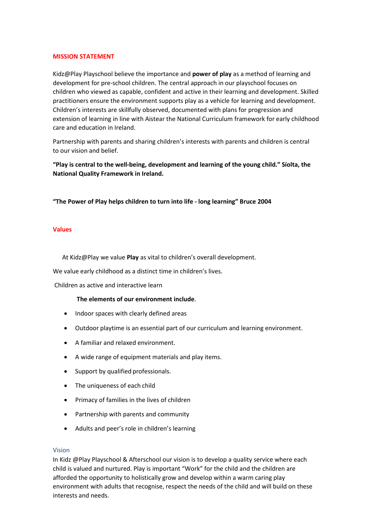#### **MISSION STATEMENT**

Kidz@Play Playschool believe the importance and **power of play** as a method of learning and development for pre-school children. The central approach in our playschool focuses on children who viewed as capable, confident and active in their learning and development. Skilled practitioners ensure the environment supports play as a vehicle for learning and development. Children's interests are skillfully observed, documented with plans for progression and extension of learning in line with Aistear the National Curriculum framework for early childhood care and education in Ireland.

Partnership with parents and sharing children's interests with parents and children is central to our vision and belief.

**"Play is central to the well-being, development and learning of the young child." Síolta, the National Quality Framework in Ireland.**

**"The Power of Play helps children to turn into life - long learning" Bruce 2004**

#### **Values**

At Kidz@Play we value **Play** as vital to children's overall development.

We value early childhood as a distinct time in children's lives.

Children as active and interactive learn

#### **The elements of our environment include**.

- Indoor spaces with clearly defined areas
- Outdoor playtime is an essential part of our curriculum and learning environment.
- A familiar and relaxed environment.
- A wide range of equipment materials and play items.
- Support by qualified professionals.
- The uniqueness of each child
- Primacy of families in the lives of children
- Partnership with parents and community
- Adults and peer's role in children's learning

#### Vision

In Kidz @Play Playschool & Afterschool our vision is to develop a quality service where each child is valued and nurtured. Play is important "Work" for the child and the children are afforded the opportunity to holistically grow and develop within a warm caring play environment with adults that recognise, respect the needs of the child and will build on these interests and needs.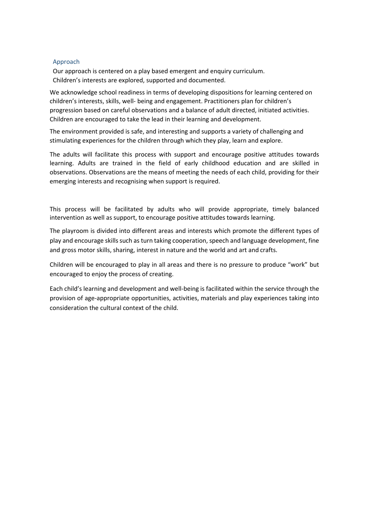#### Approach

Our approach is centered on a play based emergent and enquiry curriculum. Children's interests are explored, supported and documented.

We acknowledge school readiness in terms of developing dispositions for learning centered on children's interests, skills, well- being and engagement. Practitioners plan for children's progression based on careful observations and a balance of adult directed, initiated activities. Children are encouraged to take the lead in their learning and development.

The environment provided is safe, and interesting and supports a variety of challenging and stimulating experiences for the children through which they play, learn and explore.

The adults will facilitate this process with support and encourage positive attitudes towards learning. Adults are trained in the field of early childhood education and are skilled in observations. Observations are the means of meeting the needs of each child, providing for their emerging interests and recognising when support is required.

This process will be facilitated by adults who will provide appropriate, timely balanced intervention as well as support, to encourage positive attitudes towards learning.

The playroom is divided into different areas and interests which promote the different types of play and encourage skills such as turn taking cooperation, speech and language development, fine and gross motor skills, sharing, interest in nature and the world and art and crafts.

Children will be encouraged to play in all areas and there is no pressure to produce "work" but encouraged to enjoy the process of creating.

Each child's learning and development and well-being is facilitated within the service through the provision of age-appropriate opportunities, activities, materials and play experiences taking into consideration the cultural context of the child.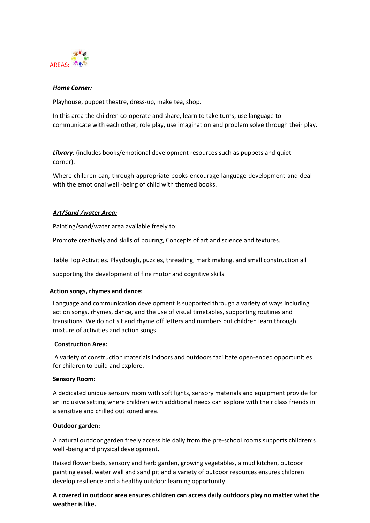

#### *Home Corner:*

Playhouse, puppet theatre, dress-up, make tea, shop.

In this area the children co-operate and share, learn to take turns, use language to communicate with each other, role play, use imagination and problem solve through their play.

**Library**: (includes books/emotional development resources such as puppets and quiet corner).

Where children can, through appropriate books encourage language development and deal with the emotional well -being of child with themed books.

#### *Art/Sand /water Area:*

Painting/sand/water area available freely to:

Promote creatively and skills of pouring, Concepts of art and science and textures.

Table Top Activities*:* Playdough, puzzles, threading, mark making, and small construction all

supporting the development of fine motor and cognitive skills.

#### **Action songs, rhymes and dance:**

Language and communication development is supported through a variety of ways including action songs, rhymes, dance, and the use of visual timetables, supporting routines and transitions. We do not sit and rhyme off letters and numbers but children learn through mixture of activities and action songs.

#### **Construction Area:**

A variety of construction materials indoors and outdoors facilitate open-ended opportunities for children to build and explore.

#### **Sensory Room:**

A dedicated unique sensory room with soft lights, sensory materials and equipment provide for an inclusive setting where children with additional needs can explore with their class friends in a sensitive and chilled out zoned area.

#### **Outdoor garden:**

A natural outdoor garden freely accessible daily from the pre-school rooms supports children's well -being and physical development.

Raised flower beds, sensory and herb garden, growing vegetables, a mud kitchen, outdoor painting easel, water wall and sand pit and a variety of outdoor resources ensures children develop resilience and a healthy outdoor learning opportunity.

**A covered in outdoor area ensures children can access daily outdoors play no matter what the weather is like.**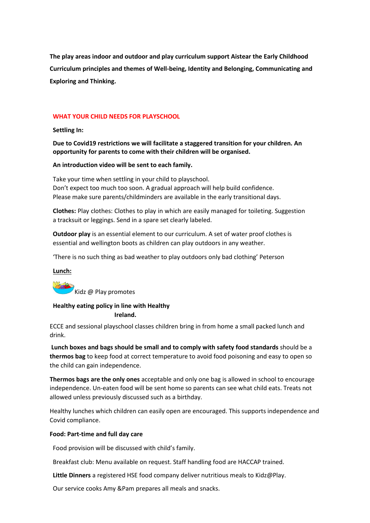**The play areas indoor and outdoor and play curriculum support Aistear the Early Childhood Curriculum principles and themes of Well-being, Identity and Belonging, Communicating and Exploring and Thinking.**

#### **WHAT YOUR CHILD NEEDS FOR PLAYSCHOOL**

#### **Settling In:**

**Due to Covid19 restrictions we will facilitate a staggered transition for your children. An opportunity for parents to come with their children will be organised.**

#### **An introduction video will be sent to each family.**

Take your time when settling in your child to playschool. Don't expect too much too soon. A gradual approach will help build confidence. Please make sure parents/childminders are available in the early transitional days.

**Clothes:** Play clothes: Clothes to play in which are easily managed for toileting. Suggestion a tracksuit or leggings. Send in a spare set clearly labeled.

**Outdoor play** is an essential element to our curriculum. A set of water proof clothes is essential and wellington boots as children can play outdoors in any weather.

'There is no such thing as bad weather to play outdoors only bad clothing' Peterson

#### **Lunch:**

Kidz @ Play promotes

#### **Healthy eating policy in line with Healthy**

#### **Ireland.**

ECCE and sessional playschool classes children bring in from home a small packed lunch and drink.

**Lunch boxes and bags should be small and to comply with safety food standards** should be a **thermos bag** to keep food at correct temperature to avoid food poisoning and easy to open so the child can gain independence.

**Thermos bags are the only ones** acceptable and only one bag is allowed in school to encourage independence. Un-eaten food will be sent home so parents can see what child eats. Treats not allowed unless previously discussed such as a birthday.

Healthy lunches which children can easily open are encouraged. This supports independence and Covid compliance.

#### **Food: Part-time and full day care**

Food provision will be discussed with child's family.

Breakfast club: Menu available on request. Staff handling food are HACCAP trained.

**Little Dinners** a registered HSE food company deliver nutritious meals to Kidz@Play.

Our service cooks Amy &Pam prepares all meals and snacks.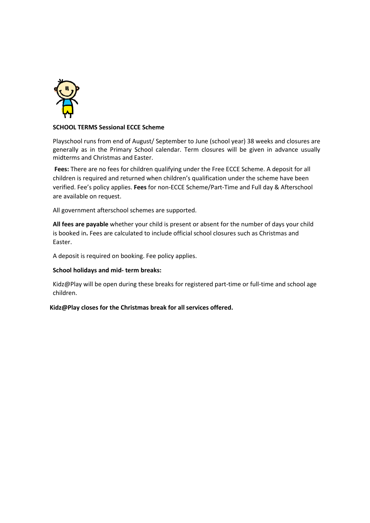

#### **SCHOOL TERMS Sessional ECCE Scheme**

Playschool runs from end of August/ September to June (school year) 38 weeks and closures are generally as in the Primary School calendar. Term closures will be given in advance usually midterms and Christmas and Easter.

**Fees:** There are no fees for children qualifying under the Free ECCE Scheme. A deposit for all children is required and returned when children's qualification under the scheme have been verified. Fee's policy applies. **Fees** for non-ECCE Scheme/Part-Time and Full day & Afterschool are available on request.

All government afterschool schemes are supported.

**All fees are payable** whether your child is present or absent for the number of days your child is booked in**.** Fees are calculated to include official school closures such as Christmas and Easter.

A deposit is required on booking. Fee policy applies.

#### **School holidays and mid- term breaks:**

Kidz@Play will be open during these breaks for registered part-time or full-time and school age children.

**Kidz@Play closes for the Christmas break for all services offered.**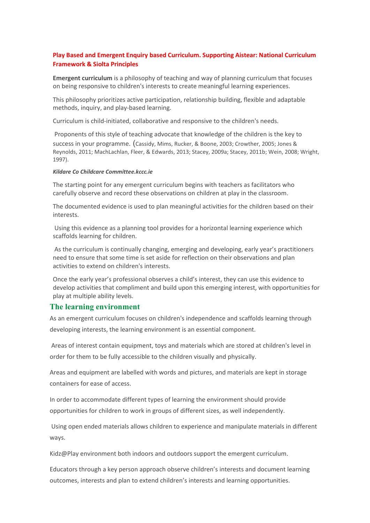#### **Play Based and Emergent Enquiry based Curriculum. Supporting Aistear: National Curriculum Framework & Siolta Principles**

**Emergent curriculum** is a philosophy of teaching and way of planning curriculum that focuses on being responsive to children's interests to create meaningful learning experiences.

This philosophy prioritizes active participation, relationship building, flexible and adaptable methods, inquiry, and play-based learning.

Curriculum is child-initiated, collaborative and responsive to the children's needs.

Proponents of this style of teaching advocate that knowledge of the children is the key to

success in your programme. (Cassidy, Mims, Rucker, & Boone, 2003; Crowther, 2005; Jones & Reynolds, 2011; MachLachlan, Fleer, & Edwards, 2013; Stacey, 2009a; Stacey, 2011b; Wein, 2008; Wright, 1997).

#### *Kildare Co Childcare Committee.kccc.ie*

The starting point for any emergent curriculum begins with teachers as facilitators who carefully observe and record these observations on children at play in the classroom.

The documented evidence is used to plan meaningful activities for the children based on their interests.

Using this evidence as a planning tool provides for a horizontal learning experience which scaffolds learning for children.

As the curriculum is continually changing, emerging and developing, early year's practitioners need to ensure that some time is set aside for reflection on their observations and plan activities to extend on children's interests.

Once the early year's professional observes a child's interest, they can use this evidence to develop activities that compliment and build upon this emerging interest, with opportunities for play at multiple ability levels.

#### **The learning environment**

As an emergent curriculum focuses on children's independence and scaffolds learning through developing interests, the learning environment is an essential component.

Areas of interest contain equipment, toys and materials which are stored at children's level in order for them to be fully accessible to the children visually and physically.

Areas and equipment are labelled with words and pictures, and materials are kept in storage containers for ease of access.

In order to accommodate different types of learning the environment should provide opportunities for children to work in groups of different sizes, as well independently.

Using open ended materials allows children to experience and manipulate materials in different ways.

Kidz@Play environment both indoors and outdoors support the emergent curriculum.

Educators through a key person approach observe children's interests and document learning outcomes, interests and plan to extend children's interests and learning opportunities.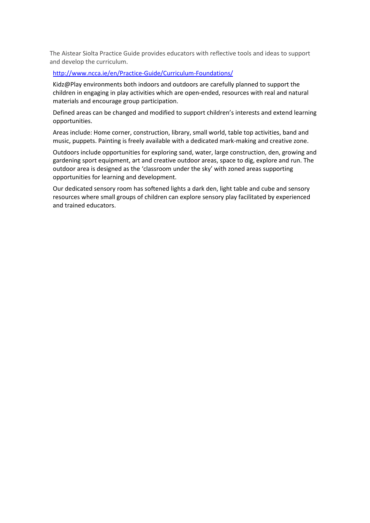The Aistear Siolta Practice Guide provides educators with reflective tools and ideas to support and develop the curriculum.

#### <http://www.ncca.ie/en/Practice-Guide/Curriculum-Foundations/>

Kidz@Play environments both indoors and outdoors are carefully planned to support the children in engaging in play activities which are open-ended, resources with real and natural materials and encourage group participation.

Defined areas can be changed and modified to support children's interests and extend learning opportunities.

Areas include: Home corner, construction, library, small world, table top activities, band and music, puppets. Painting is freely available with a dedicated mark-making and creative zone.

Outdoors include opportunities for exploring sand, water, large construction, den, growing and gardening sport equipment, art and creative outdoor areas, space to dig, explore and run. The outdoor area is designed as the 'classroom under the sky' with zoned areas supporting opportunities for learning and development.

Our dedicated sensory room has softened lights a dark den, light table and cube and sensory resources where small groups of children can explore sensory play facilitated by experienced and trained educators.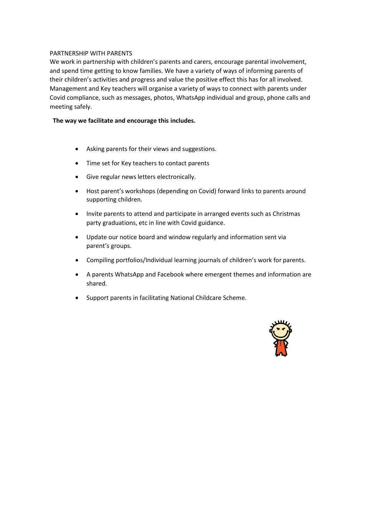#### PARTNERSHIP WITH PARENTS

We work in partnership with children's parents and carers, encourage parental involvement, and spend time getting to know families. We have a variety of ways of informing parents of their children's activities and progress and value the positive effect this has for all involved. Management and Key teachers will organise a variety of ways to connect with parents under Covid compliance, such as messages, photos, WhatsApp individual and group, phone calls and meeting safely.

#### **The way we facilitate and encourage this includes.**

- Asking parents for their views and suggestions.
- Time set for Key teachers to contact parents
- Give regular news letters electronically.
- Host parent's workshops (depending on Covid) forward links to parents around supporting children.
- Invite parents to attend and participate in arranged events such as Christmas party graduations, etc in line with Covid guidance.
- Update our notice board and window regularly and information sent via parent's groups.
- Compiling portfolios/Individual learning journals of children's work for parents.
- A parents WhatsApp and Facebook where emergent themes and information are shared.
- Support parents in facilitating National Childcare Scheme.

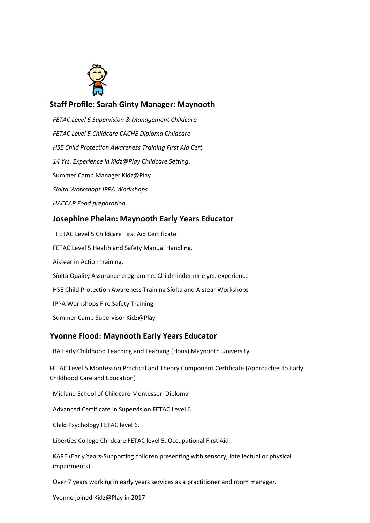

# **Staff Profile**: **Sarah Ginty Manager: Maynooth**

*FETAC Level 6 Supervision & Management Childcare FETAC Level 5 Childcare CACHE Diploma Childcare HSE Child Protection Awareness Training First Aid Cert 14 Yrs. Experience in Kidz@Play Childcare Setting*. Summer Camp Manager Kidz@Play *Síolta Workshops IPPA Workshops HACCAP Food preparation* **Josephine Phelan: Maynooth Early Years Educator** FETAC Level 5 Childcare First Aid Certificate

FETAC Level 5 Health and Safety Manual Handling. Aistear in Action training. Síolta Quality Assurance programme. Childminder nine yrs. experience HSE Child Protection Awareness Training Síolta and Aistear Workshops IPPA Workshops Fire Safety Training Summer Camp Supervisor Kidz@Play

# **Yvonne Flood: Maynooth Early Years Educator**

BA Early Childhood Teaching and Learning (Hons) Maynooth University

FETAC Level 5 Montessori Practical and Theory Component Certificate (Approaches to Early Childhood Care and Education)

Midland School of Childcare Montessori Diploma

Advanced Certificate in Supervision FETAC Level 6

Child Psychology FETAC level 6.

Liberties College Childcare FETAC level 5. Occupational First Aid

KARE (Early Years-Supporting children presenting with sensory, intellectual or physical impairments)

Over 7 years working in early years services as a practitioner and room manager.

Yvonne joined Kidz@Play in 2017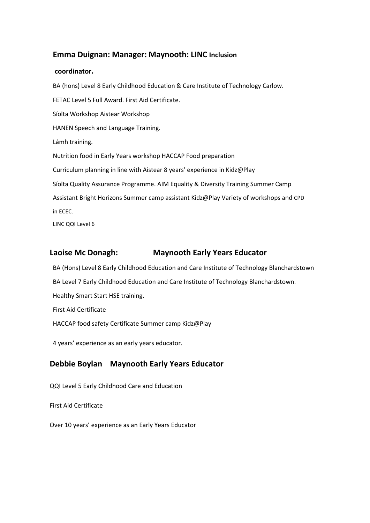### **Emma Duignan: Manager: Maynooth: LINC Inclusion**

#### **coordinator.**

BA (hons) Level 8 Early Childhood Education & Care Institute of Technology Carlow. FETAC Level 5 Full Award. First Aid Certificate. Síolta Workshop Aistear Workshop HANEN Speech and Language Training. Lámh training. Nutrition food in Early Years workshop HACCAP Food preparation Curriculum planning in line with Aistear 8 years' experience in Kidz@Play Síolta Quality Assurance Programme. AIM Equality & Diversity Training Summer Camp Assistant Bright Horizons Summer camp assistant Kidz@Play Variety of workshops and CPD in ECEC. LINC QQI Level 6

# **Laoise Mc Donagh: Maynooth Early Years Educator**

BA (Hons) Level 8 Early Childhood Education and Care Institute of Technology Blanchardstown

BA Level 7 Early Childhood Education and Care Institute of Technology Blanchardstown.

Healthy Smart Start HSE training.

First Aid Certificate

HACCAP food safety Certificate Summer camp Kidz@Play

4 years' experience as an early years educator.

# **Debbie Boylan Maynooth Early Years Educator**

QQI Level 5 Early Childhood Care and Education

First Aid Certificate

Over 10 years' experience as an Early Years Educator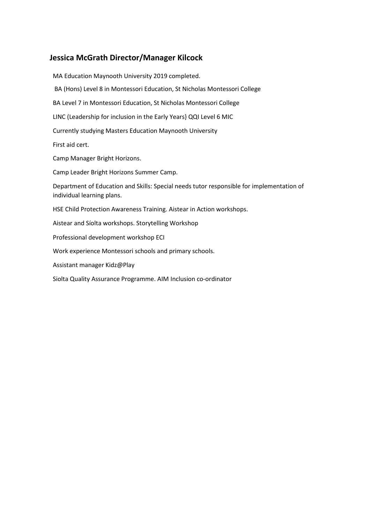### **Jessica McGrath Director/Manager Kilcock**

MA Education Maynooth University 2019 completed. BA (Hons) Level 8 in Montessori Education, St Nicholas Montessori College BA Level 7 in Montessori Education, St Nicholas Montessori College LINC (Leadership for inclusion in the Early Years} QQI Level 6 MIC Currently studying Masters Education Maynooth University First aid cert. Camp Manager Bright Horizons. Camp Leader Bright Horizons Summer Camp. Department of Education and Skills: Special needs tutor responsible for implementation of individual learning plans. HSE Child Protection Awareness Training. Aistear in Action workshops. Aistear and Síolta workshops. Storytelling Workshop Professional development workshop ECI Work experience Montessori schools and primary schools. Assistant manager Kidz@Play

Siolta Quality Assurance Programme. AIM Inclusion co-ordinator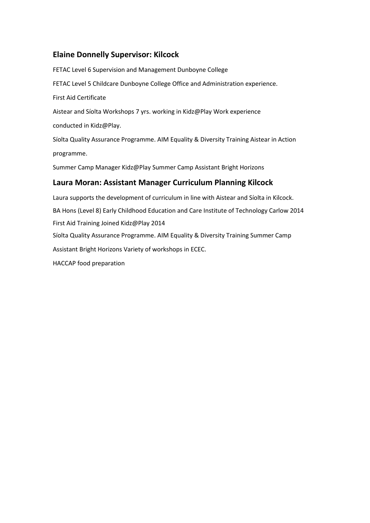# **Elaine Donnelly Supervisor: Kilcock**

FETAC Level 6 Supervision and Management Dunboyne College FETAC Level 5 Childcare Dunboyne College Office and Administration experience. First Aid Certificate Aistear and Síolta Workshops 7 yrs. working in Kidz@Play Work experience conducted in Kidz@Play. Síolta Quality Assurance Programme. AIM Equality & Diversity Training Aistear in Action programme. Summer Camp Manager Kidz@Play Summer Camp Assistant Bright Horizons **Laura Moran: Assistant Manager Curriculum Planning Kilcock** Laura supports the development of curriculum in line with Aistear and Síolta in Kilcock. BA Hons (Level 8) Early Childhood Education and Care Institute of Technology Carlow 2014 First Aid Training Joined Kidz@Play 2014 Síolta Quality Assurance Programme. AIM Equality & Diversity Training Summer Camp

Assistant Bright Horizons Variety of workshops in ECEC.

HACCAP food preparation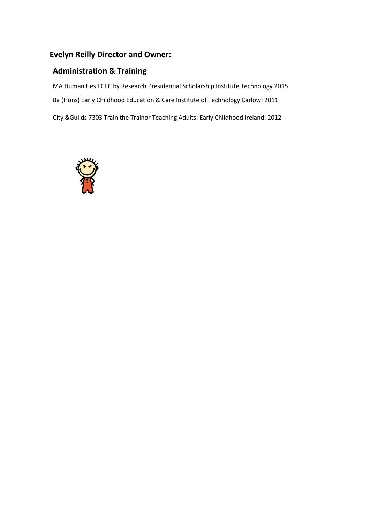# **Evelyn Reilly Director and Owner:**

# **Administration & Training**

MA Humanities ECEC by Research Presidential Scholarship Institute Technology 2015.

Ba (Hons) Early Childhood Education & Care Institute of Technology Carlow: 2011

City &Guilds 7303 Train the Trainor Teaching Adults: Early Childhood Ireland: 2012

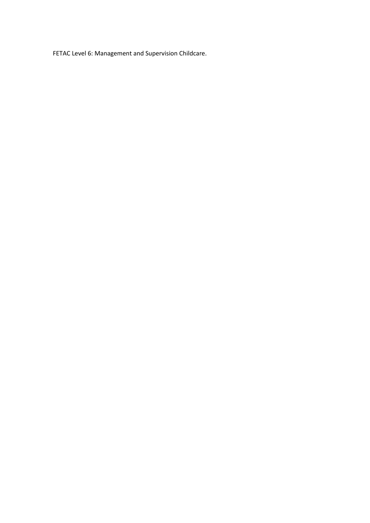FETAC Level 6: Management and Supervision Childcare.